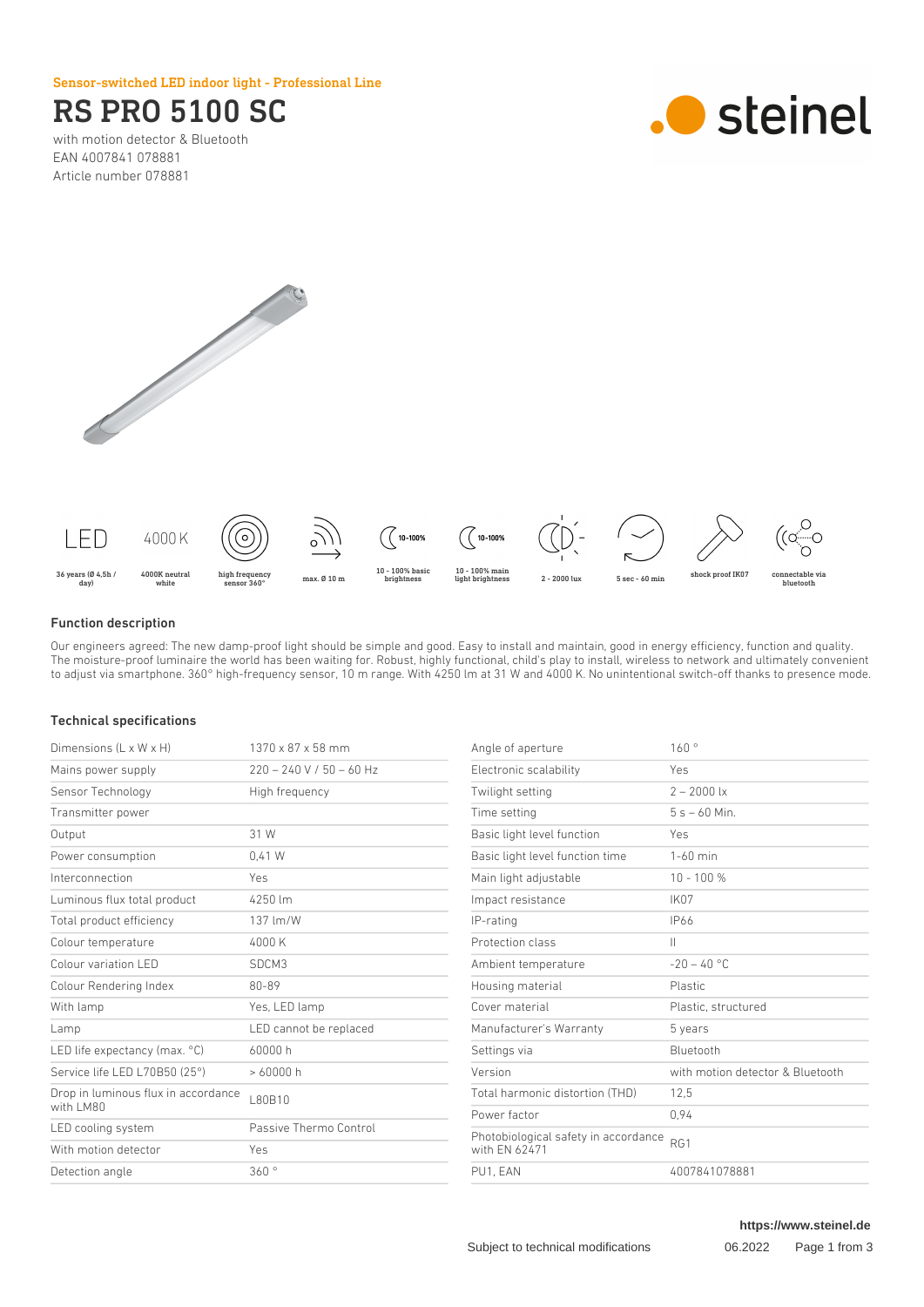Sensor-switched LED indoor light - Professional Line

# RS PRO 5100 SC

with motion detector & Bluetooth EAN 4007841 078881 Article number 078881







### Function description

Our engineers agreed: The new damp-proof light should be simple and good. Easy to install and maintain, good in energy efficiency, function and quality. The moisture-proof luminaire the world has been waiting for. Robust, highly functional, child's play to install, wireless to network and ultimately convenient to adjust via smartphone. 360° high-frequency sensor, 10 m range. With 4250 lm at 31 W and 4000 K. No unintentional switch-off thanks to presence mode.

## Technical specifications

| Dimensions $(L \times W \times H)$               | $1370 \times 87 \times 58$ mm |
|--------------------------------------------------|-------------------------------|
| Mains power supply                               | $220 - 240$ V / 50 - 60 Hz    |
| Sensor Technology                                | High frequency                |
| Transmitter power                                |                               |
| Output                                           | 31 W                          |
| Power consumption                                | $0.41$ W                      |
| Interconnection                                  | Yes                           |
| Luminous flux total product                      | 4250 lm                       |
| Total product efficiency                         | 137 lm/W                      |
| Colour temperature                               | 4000 K                        |
| Colour variation LED                             | SDCM3                         |
| Colour Rendering Index                           | 80-89                         |
| With lamp                                        | Yes, LED lamp                 |
| Lamp                                             | LED cannot be replaced        |
| LED life expectancy (max. °C)                    | 60000 h                       |
| Service life LED L70B50 (25°)                    | >60000h                       |
| Drop in luminous flux in accordance<br>with LM80 | L80B10                        |
| LED cooling system                               | Passive Thermo Control        |
| With motion detector                             | Yes                           |
| Detection angle                                  | 360°                          |
|                                                  |                               |

| Angle of aperture                                     | 160°                             |
|-------------------------------------------------------|----------------------------------|
| Electronic scalability                                | Yes                              |
| Twilight setting                                      | $2 - 2000$ lx                    |
| Time setting                                          | $5s - 60$ Min.                   |
| Basic light level function                            | Yes                              |
| Basic light level function time                       | $1-60$ min                       |
| Main light adjustable                                 | $10 - 100 %$                     |
| Impact resistance                                     | IK07                             |
| IP-rating                                             | <b>IP66</b>                      |
| Protection class                                      | Ш                                |
| Ambient temperature                                   | $-20 - 40$ °C                    |
| Housing material                                      | Plastic                          |
| Cover material                                        | Plastic, structured              |
| Manufacturer's Warranty                               | 5 years                          |
| Settings via                                          | <b>Bluetooth</b>                 |
| Version                                               | with motion detector & Bluetooth |
| Total harmonic distortion (THD)                       | 12,5                             |
| Power factor                                          | 0.94                             |
| Photobiological safety in accordance<br>with EN 62471 | RG1                              |
| PU1, EAN                                              | 4007841078881                    |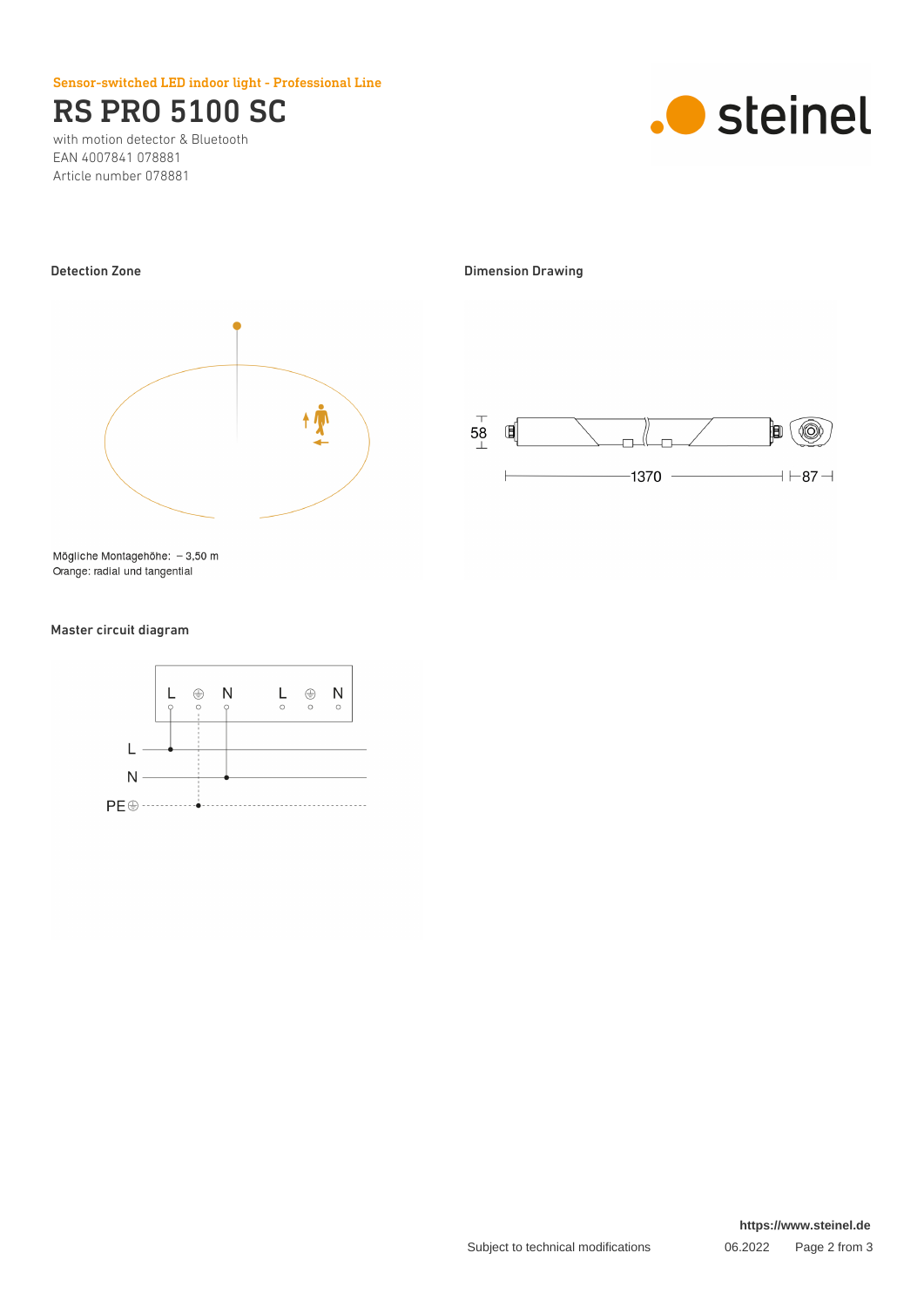Sensor-switched LED indoor light - Professional Line

# RS PRO 5100 SC

with motion detector & Bluetooth EAN 4007841 078881 Article number 078881





Mögliche Montagehöhe: - 3,50 m Orange: radial und tangential

### Master circuit diagram